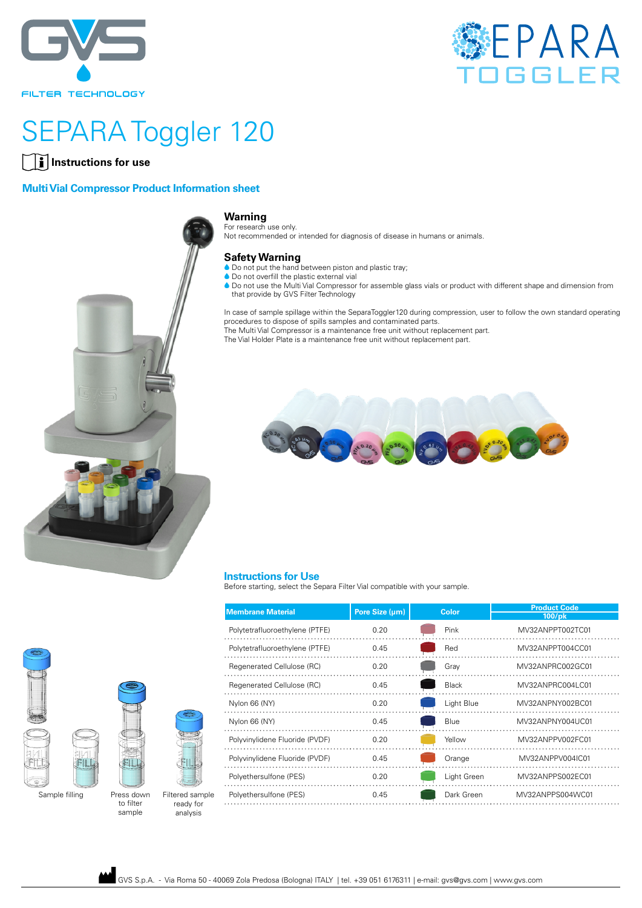



# SEPARA Toggler 120

### **Instructions for use**

#### **Multi Vial Compressor Product Information sheet**



#### **Warning**

For research use only. Not recommended or intended for diagnosis of disease in humans or animals.

#### **Safety Warning**

- $\bullet$  Do not put the hand between piston and plastic tray;
- $\bullet$  Do not overfill the plastic external vial
- **A Do not use the Multi Vial Compressor for assemble glass vials or product with different shape and dimension from** that provide by GVS Filter Technology

In case of sample spillage within the SeparaToggler120 during compression, user to follow the own standard operating procedures to dispose of spills samples and contaminated parts. The Multi Vial Compressor is a maintenance free unit without replacement part.

The Vial Holder Plate is a maintenance free unit without replacement part.



#### **Instructions for Use**

Before starting, select the Separa Filter Vial compatible with your sample.

|                |                         |                              | <b>Membrane Material</b>       | Pore Size (µm) | <b>Color</b> | <b>Product Code</b><br>100/pk |
|----------------|-------------------------|------------------------------|--------------------------------|----------------|--------------|-------------------------------|
|                |                         |                              | Polytetrafluoroethylene (PTFE) | 0.20           | Pink         | MV32ANPPT002TC01              |
|                |                         |                              | Polytetrafluoroethylene (PTFE) | 0.45           | Red          | MV32ANPPT004CC01              |
|                |                         |                              | Regenerated Cellulose (RC)     | 0.20           | Gray         | MV32ANPRC002GC01              |
|                |                         |                              | Regenerated Cellulose (RC)     | 0.45           | <b>Black</b> | MV32ANPRC004LC01              |
|                |                         |                              | Nylon 66 (NY)                  | 0.20           | Light Blue   | MV32ANPNY002BC01              |
|                |                         |                              | Nylon 66 (NY)                  | 0.45           | <b>Blue</b>  | MV32ANPNY004UC01              |
|                |                         |                              | Polyvinylidene Fluoride (PVDF) | 0.20           | Yellow       | MV32ANPPV002FC01              |
|                |                         |                              | Polyvinylidene Fluoride (PVDF) | 0.45           | Orange       | MV32ANPPV004IC01              |
|                |                         |                              | Polyethersulfone (PES)         | 0.20           | Light Green  | MV32ANPPS002EC01              |
| Sample filling | Press down<br>to filter | Filtered sample<br>ready for | Polyethersulfone (PES)         | 0.45           | Dark Green   | MV32ANPPS004WC01              |
|                |                         |                              |                                |                |              |                               |





sample Filtered sample ready for analysis

GVS S.p.A. - Via Roma 50 - 40069 Zola Predosa (Bologna) ITALY | tel. +39 051 6176311 | e-mail: gvs@gvs.com | www.gvs.com